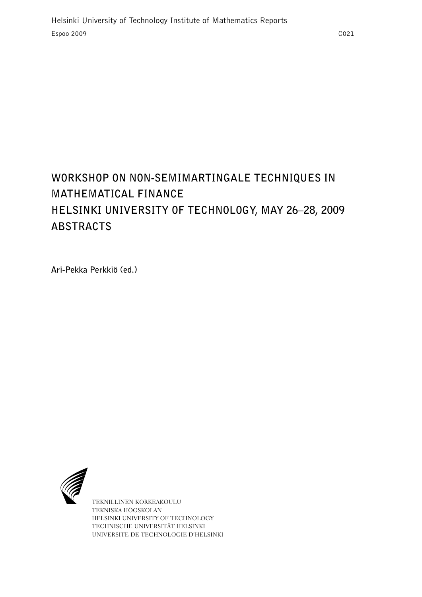# **WORKSHOP ON NON-SEMIMARTINGALE TECHNIQUES IN MATHEMATICAL FINANCE HELSINKI UNIVERSITY OF TECHNOLOGY, MAY 26–28, 2009 ABSTRACTS**

**Ari-Pekka Perkkio (ed.) ¨**



TEKNILLINEN KORKEAKOULU TEKNISKA HÖGSKOLAN HELSINKI UNIVERSITY OF TECHNOLOGY TECHNISCHE UNIVERSITÄT HELSINKI UNIVERSITE DE TECHNOLOGIE D'HELSINKI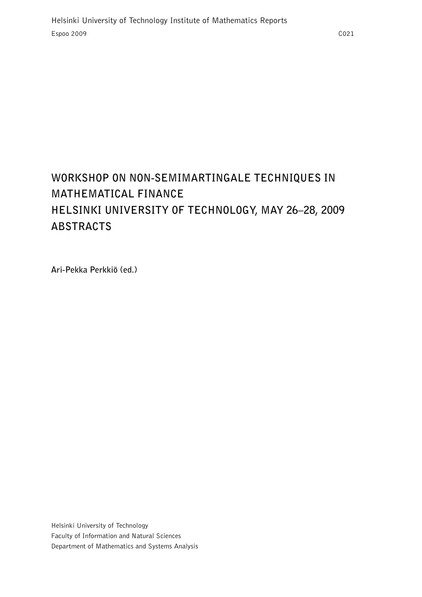# **WORKSHOP ON NON-SEMIMARTINGALE TECHNIQUES IN MATHEMATICAL FINANCE HELSINKI UNIVERSITY OF TECHNOLOGY, MAY 26–28, 2009 ABSTRACTS**

**Ari-Pekka Perkkio (ed.) ¨**

Helsinki University of Technology Faculty of Information and Natural Sciences Department of Mathematics and Systems Analysis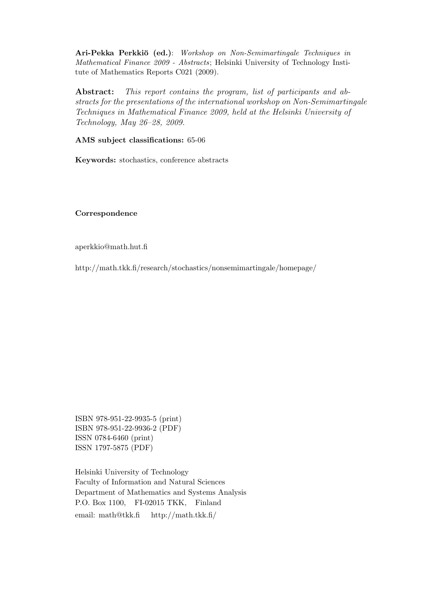Ari-Pekka Perkkiö (ed.): Workshop on Non-Semimartingale Techniques in Mathematical Finance 2009 - Abstracts; Helsinki University of Technology Institute of Mathematics Reports C021 (2009).

Abstract: This report contains the program, list of participants and abstracts for the presentations of the international workshop on Non-Semimartingale Techniques in Mathematical Finance 2009, held at the Helsinki University of Technology, May 26–28, 2009.

### AMS subject classifications: 65-06

Keywords: stochastics, conference abstracts

Correspondence

aperkkio@math.hut.fi

http://math.tkk.fi/research/stochastics/nonsemimartingale/homepage/

ISBN 978-951-22-9935-5 (print) ISBN 978-951-22-9936-2 (PDF) ISSN 0784-6460 (print) ISSN 1797-5875 (PDF)

Helsinki University of Technology Faculty of Information and Natural Sciences Department of Mathematics and Systems Analysis P.O. Box 1100, FI-02015 TKK, Finland email: math@tkk.fi http://math.tkk.fi/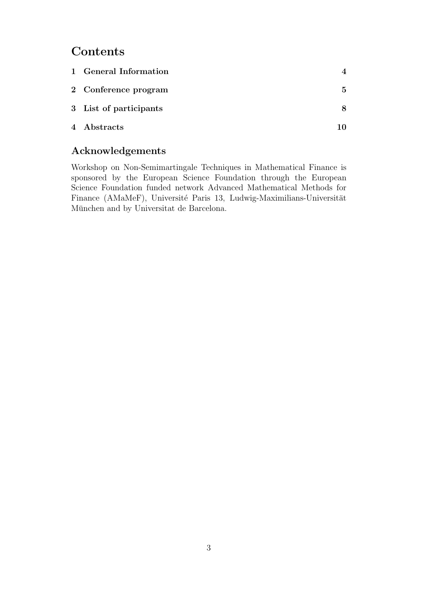# **Contents**

| 1 General Information  | $\boldsymbol{\varDelta}$ |
|------------------------|--------------------------|
| 2 Conference program   | 5                        |
| 3 List of participants | 8                        |
| 4 Abstracts            | 10                       |

# Acknowledgements

Workshop on Non-Semimartingale Techniques in Mathematical Finance is sponsored by the European Science Foundation through the European Science Foundation funded network Advanced Mathematical Methods for Finance (AMaMeF), Université Paris 13, Ludwig-Maximilians-Universität München and by Universitat de Barcelona.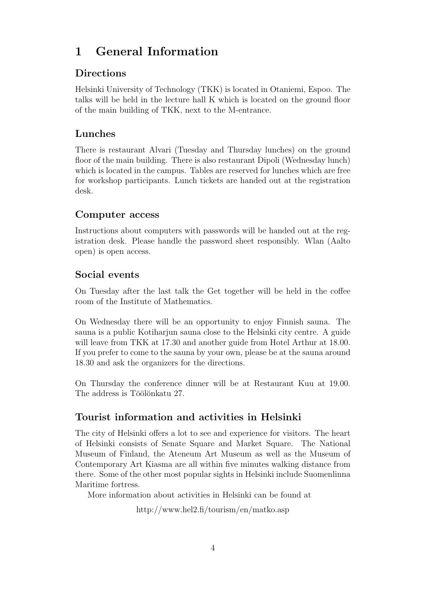# 1 General Information

# Directions

Helsinki University of Technology (TKK) is located in Otaniemi, Espoo. The talks will be held in the lecture hall K which is located on the ground floor of the main building of TKK, next to the M-entrance.

# Lunches

There is restaurant Alvari (Tuesday and Thursday lunches) on the ground floor of the main building. There is also restaurant Dipoli (Wednesday lunch) which is located in the campus. Tables are reserved for lunches which are free for workshop participants. Lunch tickets are handed out at the registration desk.

# Computer access

Instructions about computers with passwords will be handed out at the registration desk. Please handle the password sheet responsibly. Wlan (Aalto open) is open access.

# Social events

On Tuesday after the last talk the Get together will be held in the coffee room of the Institute of Mathematics.

On Wednesday there will be an opportunity to enjoy Finnish sauna. The sauna is a public Kotiharjun sauna close to the Helsinki city centre. A guide will leave from TKK at 17.30 and another guide from Hotel Arthur at 18.00. If you prefer to come to the sauna by your own, please be at the sauna around 18.30 and ask the organizers for the directions.

On Thursday the conference dinner will be at Restaurant Kuu at 19.00. The address is Töölönkatu 27.

# Tourist information and activities in Helsinki

The city of Helsinki offers a lot to see and experience for visitors. The heart of Helsinki consists of Senate Square and Market Square. The National Museum of Finland, the Ateneum Art Museum as well as the Museum of Contemporary Art Kiasma are all within five minutes walking distance from there. Some of the other most popular sights in Helsinki include Suomenlinna Maritime fortress.

More information about activities in Helsinki can be found at

http://www.hel2.fi/tourism/en/matko.asp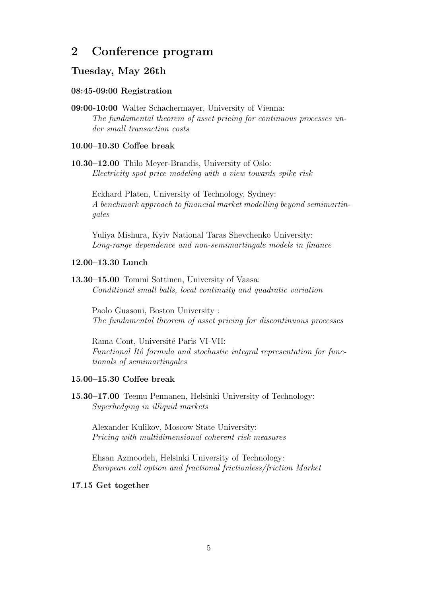# 2 Conference program

# Tuesday, May 26th

### 08:45-09:00 Registration

09:00-10:00 Walter Schachermayer, University of Vienna: The fundamental theorem of asset pricing for continuous processes under small transaction costs

## 10.00–10.30 Coffee break

10.30–12.00 Thilo Meyer-Brandis, University of Oslo: Electricity spot price modeling with a view towards spike risk

Eckhard Platen, University of Technology, Sydney: A benchmark approach to financial market modelling beyond semimartingales

Yuliya Mishura, Kyiv National Taras Shevchenko University: Long-range dependence and non-semimartingale models in finance

### 12.00–13.30 Lunch

13.30–15.00 Tommi Sottinen, University of Vaasa: Conditional small balls, local continuity and quadratic variation

Paolo Guasoni, Boston University : The fundamental theorem of asset pricing for discontinuous processes

Rama Cont, Université Paris VI-VII: Functional Itô formula and stochastic integral representation for functionals of semimartingales

### 15.00–15.30 Coffee break

15.30–17.00 Teemu Pennanen, Helsinki University of Technology: Superhedging in illiquid markets

Alexander Kulikov, Moscow State University: Pricing with multidimensional coherent risk measures

Ehsan Azmoodeh, Helsinki University of Technology: European call option and fractional frictionless/friction Market

## 17.15 Get together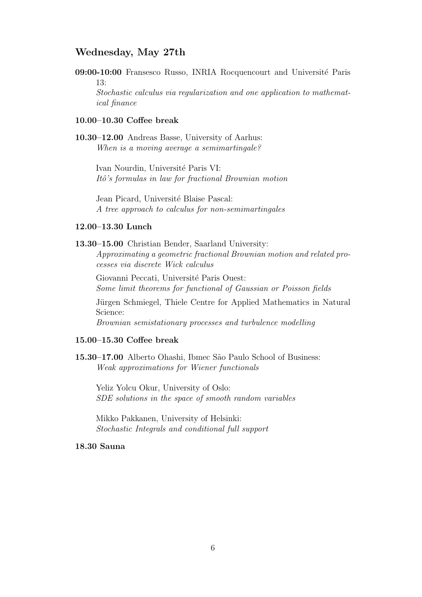# Wednesday, May 27th

09:00-10:00 Fransesco Russo, INRIA Rocquencourt and Université Paris 13: Stochastic calculus via regularization and one application to mathematical finance

# 10.00–10.30 Coffee break

10.30–12.00 Andreas Basse, University of Aarhus: When is a moving average a semimartingale?

> Ivan Nourdin, Université Paris VI: Itô's formulas in law for fractional Brownian motion

Jean Picard, Université Blaise Pascal: A tree approach to calculus for non-semimartingales

### 12.00–13.30 Lunch

13.30–15.00 Christian Bender, Saarland University: Approximating a geometric fractional Brownian motion and related processes via discrete Wick calculus

Giovanni Peccati, Université Paris Ouest: Some limit theorems for functional of Gaussian or Poisson fields

Jürgen Schmiegel, Thiele Centre for Applied Mathematics in Natural Science:

Brownian semistationary processes and turbulence modelling

### 15.00–15.30 Coffee break

15.30–17.00 Alberto Ohashi, Ibmec São Paulo School of Business: Weak approximations for Wiener functionals

Yeliz Yolcu Okur, University of Oslo: SDE solutions in the space of smooth random variables

Mikko Pakkanen, University of Helsinki: Stochastic Integrals and conditional full support

# 18.30 Sauna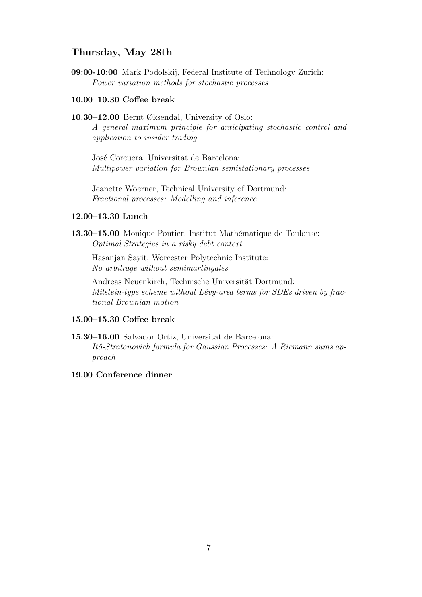# Thursday, May 28th

09:00-10:00 Mark Podolskij, Federal Institute of Technology Zurich: Power variation methods for stochastic processes

### 10.00–10.30 Coffee break

# 10.30–12.00 Bernt Øksendal, University of Oslo: A general maximum principle for anticipating stochastic control and application to insider trading

José Corcuera, Universitat de Barcelona: Multipower variation for Brownian semistationary processes

Jeanette Woerner, Technical University of Dortmund: Fractional processes: Modelling and inference

## 12.00–13.30 Lunch

13.30–15.00 Monique Pontier, Institut Mathématique de Toulouse: Optimal Strategies in a risky debt context

Hasanjan Sayit, Worcester Polytechnic Institute: No arbitrage without semimartingales

Andreas Neuenkirch, Technische Universität Dortmund:  $Milstein-type scheme without Lévy-area terms for SDEs driven by frac$ tional Brownian motion

### 15.00–15.30 Coffee break

15.30–16.00 Salvador Ortiz, Universitat de Barcelona: Itô-Stratonovich formula for Gaussian Processes: A Riemann sums approach

## 19.00 Conference dinner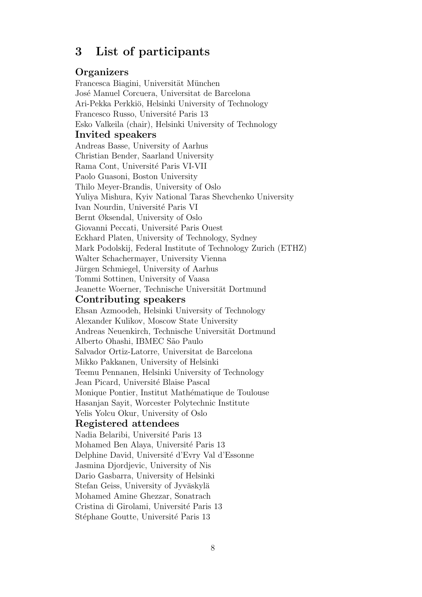# 3 List of participants

# **Organizers**

Francesca Biagini, Universität München José Manuel Corcuera, Universitat de Barcelona Ari-Pekka Perkkiö, Helsinki University of Technology Francesco Russo, Université Paris 13 Esko Valkeila (chair), Helsinki University of Technology Invited speakers Andreas Basse, University of Aarhus Christian Bender, Saarland University Rama Cont, Université Paris VI-VII Paolo Guasoni, Boston University Thilo Meyer-Brandis, University of Oslo Yuliya Mishura, Kyiv National Taras Shevchenko University Ivan Nourdin, Universit´e Paris VI Bernt Øksendal, University of Oslo Giovanni Peccati, Université Paris Ouest Eckhard Platen, University of Technology, Sydney Mark Podolskij, Federal Institute of Technology Zurich (ETHZ) Walter Schachermayer, University Vienna Jurgen Schmiegel, University of Aarhus ¨ Tommi Sottinen, University of Vaasa Jeanette Woerner, Technische Universität Dortmund Contributing speakers Ehsan Azmoodeh, Helsinki University of Technology Alexander Kulikov, Moscow State University Andreas Neuenkirch, Technische Universität Dortmund Alberto Ohashi, IBMEC São Paulo Salvador Ortiz-Latorre, Universitat de Barcelona Mikko Pakkanen, University of Helsinki Teemu Pennanen, Helsinki University of Technology Jean Picard, Université Blaise Pascal Monique Pontier, Institut Mathématique de Toulouse Hasanjan Sayit, Worcester Polytechnic Institute Yelis Yolcu Okur, University of Oslo Registered attendees Nadia Belaribi, Université Paris 13 Mohamed Ben Alaya, Université Paris 13 Delphine David, Université d'Evry Val d'Essonne Jasmina Djordjevic, University of Nis Dario Gasbarra, University of Helsinki Stefan Geiss, University of Jyväskylä Mohamed Amine Ghezzar, Sonatrach Cristina di Girolami, Université Paris 13 Stéphane Goutte, Université Paris 13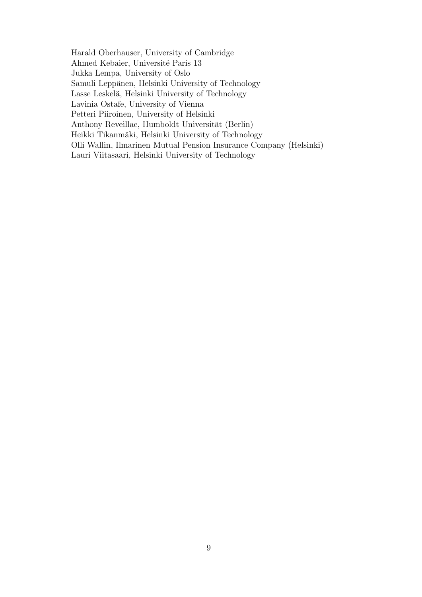Harald Oberhauser, University of Cambridge Ahmed Kebaier, Université Paris 13 Jukka Lempa, University of Oslo Samuli Leppänen, Helsinki University of Technology Lasse Leskelä, Helsinki University of Technology Lavinia Ostafe, University of Vienna Petteri Piiroinen, University of Helsinki Anthony Reveillac, Humboldt Universität (Berlin) Heikki Tikanmäki, Helsinki University of Technology Olli Wallin, Ilmarinen Mutual Pension Insurance Company (Helsinki) Lauri Viitasaari, Helsinki University of Technology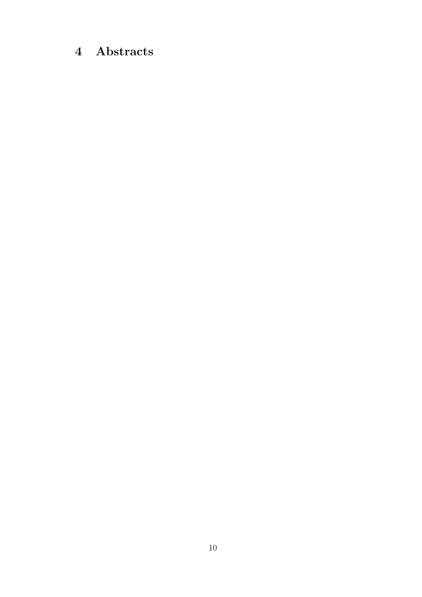# 4 Abstracts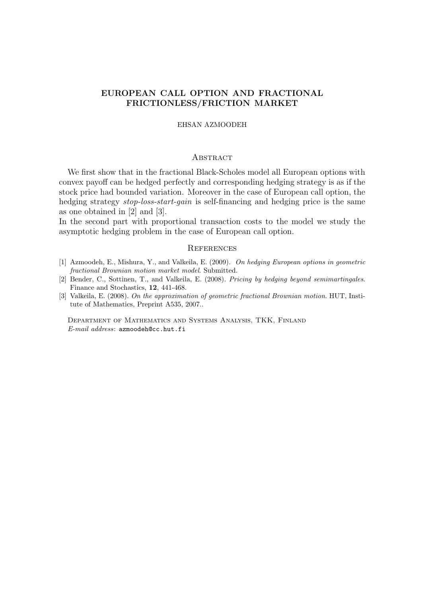# EUROPEAN CALL OPTION AND FRACTIONAL FRICTIONLESS/FRICTION MARKET

#### EHSAN AZMOODEH

### **ABSTRACT**

We first show that in the fractional Black-Scholes model all European options with convex payoff can be hedged perfectly and corresponding hedging strategy is as if the stock price had bounded variation. Moreover in the case of European call option, the hedging strategy *stop-loss-start-gain* is self-financing and hedging price is the same as one obtained in [2] and [3].

In the second part with proportional transaction costs to the model we study the asymptotic hedging problem in the case of European call option.

### **REFERENCES**

- [1] Azmoodeh, E., Mishura, Y., and Valkeila, E. (2009). On hedging European options in geometric fractional Brownian motion market model. Submitted.
- [2] Bender, C., Sottinen, T., and Valkeila, E. (2008). Pricing by hedging beyond semimartingales. Finance and Stochastics, 12, 441-468.
- [3] Valkeila, E. (2008). On the approximation of geometric fractional Brownian motion. HUT, Institute of Mathematics, Preprint A535, 2007..

Department of Mathematics and Systems Analysis, TKK, Finland E-mail address: azmoodeh@cc.hut.fi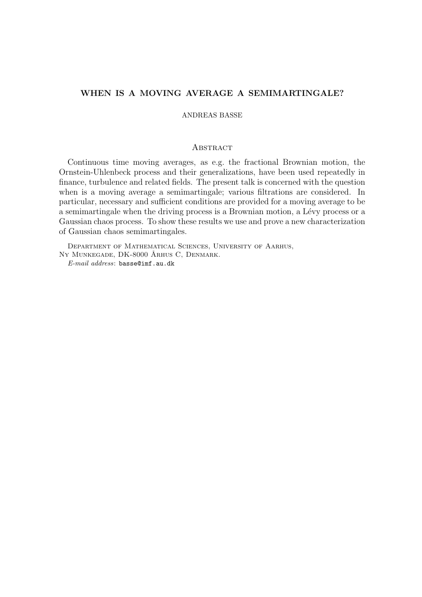## WHEN IS A MOVING AVERAGE A SEMIMARTINGALE?

### ANDREAS BASSE

### **ABSTRACT**

Continuous time moving averages, as e.g. the fractional Brownian motion, the Ornstein-Uhlenbeck process and their generalizations, have been used repeatedly in finance, turbulence and related fields. The present talk is concerned with the question when is a moving average a semimartingale; various filtrations are considered. In particular, necessary and sufficient conditions are provided for a moving average to be a semimartingale when the driving process is a Brownian motion, a Lévy process or a Gaussian chaos process. To show these results we use and prove a new characterization of Gaussian chaos semimartingales.

Department of Mathematical Sciences, University of Aarhus, NY MUNKEGADE, DK-8000 ÅRHUS C, DENMARK.

 $E$ -mail address: basse@imf.au.dk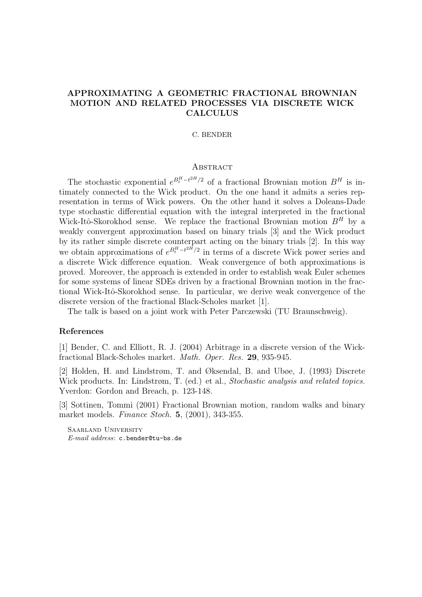# APPROXIMATING A GEOMETRIC FRACTIONAL BROWNIAN MOTION AND RELATED PROCESSES VIA DISCRETE WICK CALCULUS

### C. BENDER

### **ABSTRACT**

The stochastic exponential  $e^{B_t^H - t^{2H}/2}$  of a fractional Brownian motion  $B^H$  is intimately connected to the Wick product. On the one hand it admits a series representation in terms of Wick powers. On the other hand it solves a Doleans-Dade type stochastic differential equation with the integral interpreted in the fractional Wick-Itô-Skorokhod sense. We replace the fractional Brownian motion  $B<sup>H</sup>$  by a weakly convergent approximation based on binary trials [3] and the Wick product by its rather simple discrete counterpart acting on the binary trials [2]. In this way we obtain approximations of  $e^{B_t^H - t^{2H}/2}$  in terms of a discrete Wick power series and a discrete Wick difference equation. Weak convergence of both approximations is proved. Moreover, the approach is extended in order to establish weak Euler schemes for some systems of linear SDEs driven by a fractional Brownian motion in the fractional Wick-Itô-Skorokhod sense. In particular, we derive weak convergence of the discrete version of the fractional Black-Scholes market [1].

The talk is based on a joint work with Peter Parczewski (TU Braunschweig).

### References

[1] Bender, C. and Elliott, R. J. (2004) Arbitrage in a discrete version of the Wickfractional Black-Scholes market. Math. Oper. Res. 29, 935-945.

[2] Holden, H. and Lindstrøm, T. and Øksendal, B. and Ubøe, J. (1993) Discrete Wick products. In: Lindstrøm, T. (ed.) et al., Stochastic analysis and related topics. Yverdon: Gordon and Breach, p. 123-148.

[3] Sottinen, Tommi (2001) Fractional Brownian motion, random walks and binary market models. Finance Stoch. 5, (2001), 343-355.

Saarland University E-mail address: c.bender@tu-bs.de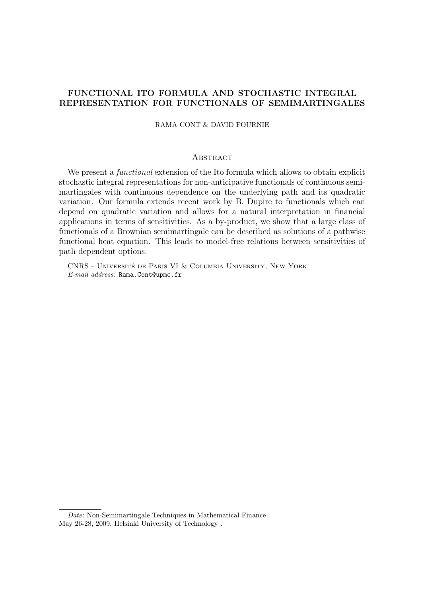# FUNCTIONAL ITO FORMULA AND STOCHASTIC INTEGRAL REPRESENTATION FOR FUNCTIONALS OF SEMIMARTINGALES

### RAMA CONT & DAVID FOURNIE

### **ABSTRACT**

We present a *functional* extension of the Ito formula which allows to obtain explicit stochastic integral representations for non-anticipative functionals of continuous semimartingales with continuous dependence on the underlying path and its quadratic variation. Our formula extends recent work by B. Dupire to functionals which can depend on quadratic variation and allows for a natural interpretation in financial applications in terms of sensitivities. As a by-product, we show that a large class of functionals of a Brownian semimartingale can be described as solutions of a pathwise functional heat equation. This leads to model-free relations between sensitivities of path-dependent options.

CNRS - UNIVERSITÉ DE PARIS VI & COLUMBIA UNIVERSITY, NEW YORK E-mail address: Rama.Cont@upmc.fr

Date: Non-Semimartingale Techniques in Mathematical Finance May 26-28, 2009, Helsinki University of Technology .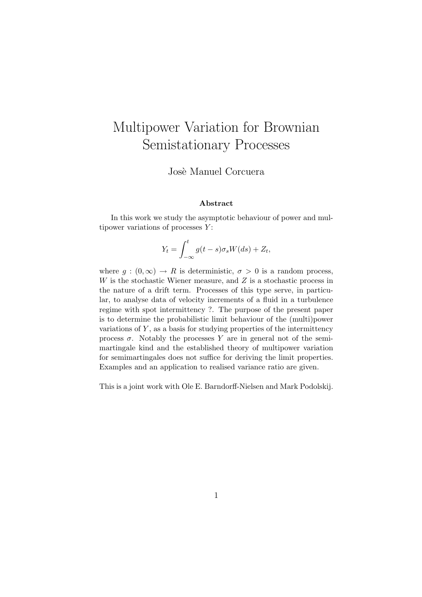# Multipower Variation for Brownian Semistationary Processes

Josè Manuel Corcuera

### Abstract

In this work we study the asymptotic behaviour of power and multipower variations of processes  $Y$ :

$$
Y_t = \int_{-\infty}^t g(t-s)\sigma_s W(ds) + Z_t,
$$

where  $g:(0,\infty) \to R$  is deterministic,  $\sigma > 0$  is a random process,  $W$  is the stochastic Wiener measure, and  $Z$  is a stochastic process in the nature of a drift term. Processes of this type serve, in particular, to analyse data of velocity increments of a fluid in a turbulence regime with spot intermittency ?. The purpose of the present paper is to determine the probabilistic limit behaviour of the (multi)power variations of  $Y$ , as a basis for studying properties of the intermittency process  $\sigma$ . Notably the processes Y are in general not of the semimartingale kind and the established theory of multipower variation for semimartingales does not suffice for deriving the limit properties. Examples and an application to realised variance ratio are given.

This is a joint work with Ole E. Barndorff-Nielsen and Mark Podolskij.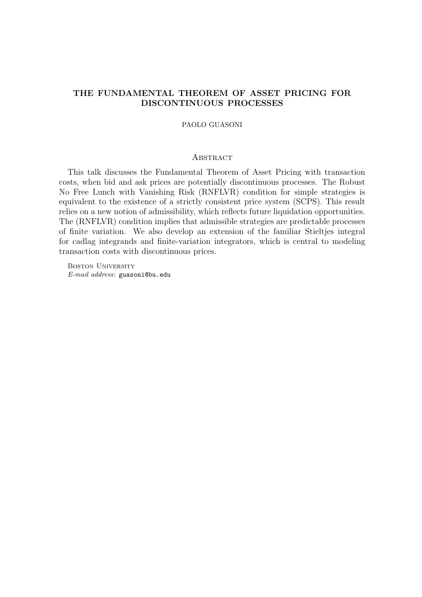## THE FUNDAMENTAL THEOREM OF ASSET PRICING FOR DISCONTINUOUS PROCESSES

### PAOLO GUASONI

### **ABSTRACT**

This talk discusses the Fundamental Theorem of Asset Pricing with transaction costs, when bid and ask prices are potentially discontinuous processes. The Robust No Free Lunch with Vanishing Risk (RNFLVR) condition for simple strategies is equivalent to the existence of a strictly consistent price system (SCPS). This result relies on a new notion of admissibility, which reflects future liquidation opportunities. The (RNFLVR) condition implies that admissible strategies are predictable processes of finite variation. We also develop an extension of the familiar Stieltjes integral for cadlag integrands and finite-variation integrators, which is central to modeling transaction costs with discontinuous prices.

Boston University E-mail address: guasoni@bu.edu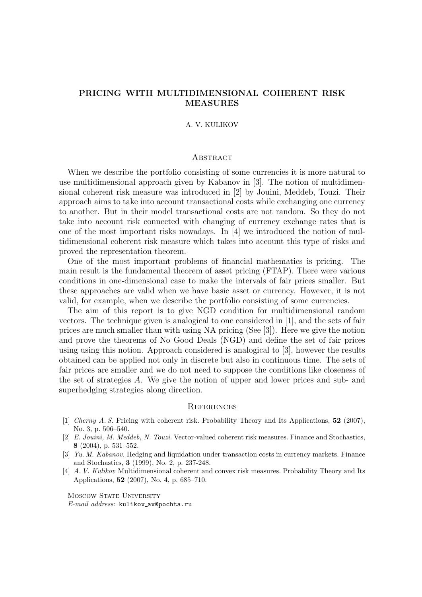## PRICING WITH MULTIDIMENSIONAL COHERENT RISK MEASURES

### A. V. KULIKOV

### **ABSTRACT**

When we describe the portfolio consisting of some currencies it is more natural to use multidimensional approach given by Kabanov in [3]. The notion of multidimensional coherent risk measure was introduced in [2] by Jouini, Meddeb, Touzi. Their approach aims to take into account transactional costs while exchanging one currency to another. But in their model transactional costs are not random. So they do not take into account risk connected with changing of currency exchange rates that is one of the most important risks nowadays. In [4] we introduced the notion of multidimensional coherent risk measure which takes into account this type of risks and proved the representation theorem.

One of the most important problems of financial mathematics is pricing. The main result is the fundamental theorem of asset pricing (FTAP). There were various conditions in one-dimensional case to make the intervals of fair prices smaller. But these approaches are valid when we have basic asset or currency. However, it is not valid, for example, when we describe the portfolio consisting of some currencies.

The aim of this report is to give NGD condition for multidimensional random vectors. The technique given is analogical to one considered in [1], and the sets of fair prices are much smaller than with using NA pricing (See [3]). Here we give the notion and prove the theorems of No Good Deals (NGD) and define the set of fair prices using using this notion. Approach considered is analogical to [3], however the results obtained can be applied not only in discrete but also in continuous time. The sets of fair prices are smaller and we do not need to suppose the conditions like closeness of the set of strategies A. We give the notion of upper and lower prices and sub- and superhedging strategies along direction.

### **REFERENCES**

- [1] Cherny A. S. Pricing with coherent risk. Probability Theory and Its Applications, 52 (2007), No. 3, p. 506–540.
- [2] E. Jouini, M. Meddeb, N. Touzi. Vector-valued coherent risk measures. Finance and Stochastics, 8 (2004), p. 531–552.
- [3] Yu. M. Kabanov. Hedging and liquidation under transaction costs in currency markets. Finance and Stochastics, 3 (1999), No. 2, p. 237-248.
- [4] A. V. Kulikov Multidimensional coherent and convex risk measures. Probability Theory and Its Applications, 52 (2007), No. 4, p. 685–710.

MOSCOW STATE UNIVERSITY E-mail address: kulikov\_av@pochta.ru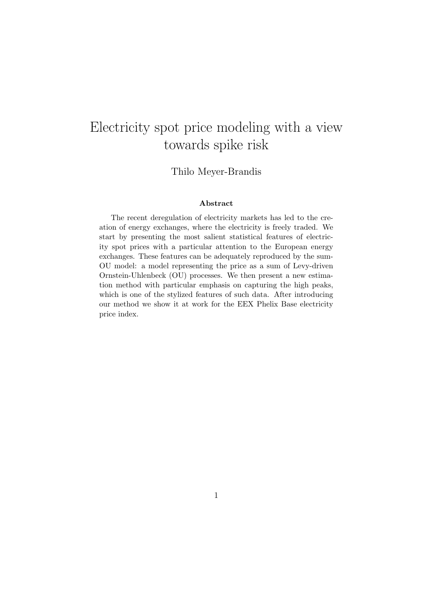# Electricity spot price modeling with a view towards spike risk

Thilo Meyer-Brandis

### Abstract

The recent deregulation of electricity markets has led to the creation of energy exchanges, where the electricity is freely traded. We start by presenting the most salient statistical features of electricity spot prices with a particular attention to the European energy exchanges. These features can be adequately reproduced by the sum-OU model: a model representing the price as a sum of Levy-driven Ornstein-Uhlenbeck (OU) processes. We then present a new estimation method with particular emphasis on capturing the high peaks, which is one of the stylized features of such data. After introducing our method we show it at work for the EEX Phelix Base electricity price index.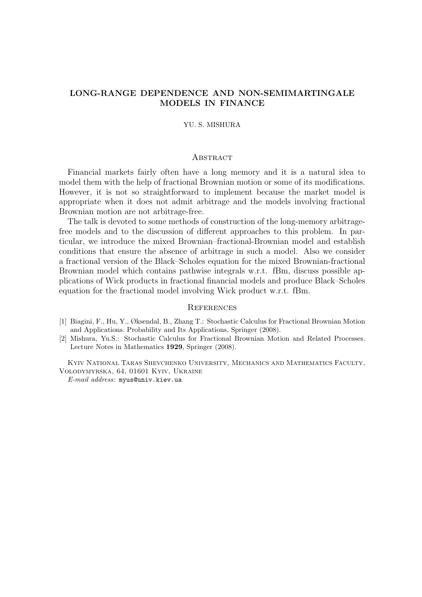# LONG-RANGE DEPENDENCE AND NON-SEMIMARTINGALE MODELS IN FINANCE

### YU. S. MISHURA

### **ABSTRACT**

Financial markets fairly often have a long memory and it is a natural idea to model them with the help of fractional Brownian motion or some of its modifications. However, it is not so straightforward to implement because the market model is appropriate when it does not admit arbitrage and the models involving fractional Brownian motion are not arbitrage-free.

The talk is devoted to some methods of construction of the long-memory arbitragefree models and to the discussion of different approaches to this problem. In particular, we introduce the mixed Brownian–fractional-Brownian model and establish conditions that ensure the absence of arbitrage in such a model. Also we consider a fractional version of the Black–Scholes equation for the mixed Brownian-fractional Brownian model which contains pathwise integrals w.r.t. fBm, discuss possible applications of Wick products in fractional financial models and produce Black–Scholes equation for the fractional model involving Wick product w.r.t. fBm.

### **REFERENCES**

- [1] Biagini, F., Hu, Y., Øksendal, B., Zhang T.: Stochastic Calculus for Fractional Brownian Motion and Applications. Probability and Its Applications, Springer (2008).
- [2] Mishura, Yu.S.: Stochastic Calculus for Fractional Brownian Motion and Related Processes. Lecture Notes in Mathematics 1929, Springer (2008).

Kyiv National Taras Shevchenko University, Mechanics and Mathematics Faculty, Volodymyrska, 64, 01601 Kyiv, Ukraine

E-mail address: myus@univ.kiev.ua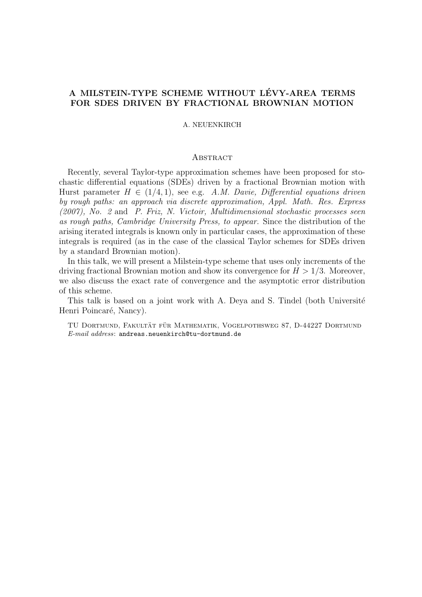# A MILSTEIN-TYPE SCHEME WITHOUT LÉVY-AREA TERMS FOR SDES DRIVEN BY FRACTIONAL BROWNIAN MOTION

#### A. NEUENKIRCH

### **ABSTRACT**

Recently, several Taylor-type approximation schemes have been proposed for stochastic differential equations (SDEs) driven by a fractional Brownian motion with Hurst parameter  $H \in (1/4, 1)$ , see e.g. A.M. Davie, Differential equations driven by rough paths: an approach via discrete approximation, Appl. Math. Res. Express (2007), No. 2 and P. Friz, N. Victoir, Multidimensional stochastic processes seen as rough paths, Cambridge University Press, to appear. Since the distribution of the arising iterated integrals is known only in particular cases, the approximation of these integrals is required (as in the case of the classical Taylor schemes for SDEs driven by a standard Brownian motion).

In this talk, we will present a Milstein-type scheme that uses only increments of the driving fractional Brownian motion and show its convergence for  $H > 1/3$ . Moreover, we also discuss the exact rate of convergence and the asymptotic error distribution of this scheme.

This talk is based on a joint work with A. Deya and S. Tindel (both Université Henri Poincaré, Nancy).

TU DORTMUND, FAKULTÄT FÜR MATHEMATIK, VOGELPOTHSWEG 87, D-44227 DORTMUND E-mail address: andreas.neuenkirch@tu-dortmund.de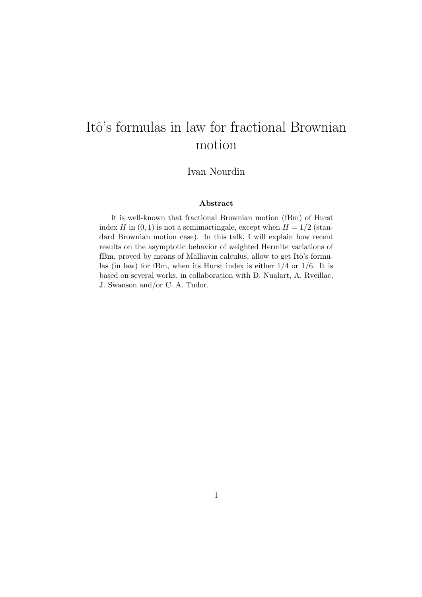# Itô's formulas in law for fractional Brownian motion

Ivan Nourdin

### Abstract

It is well-known that fractional Brownian motion (fBm) of Hurst index H in  $(0, 1)$  is not a semimartingale, except when  $H = 1/2$  (standard Brownian motion case). In this talk, I will explain how recent results on the asymptotic behavior of weighted Hermite variations of fBm, proved by means of Malliavin calculus, allow to get Itô's formulas (in law) for fBm, when its Hurst index is either  $1/4$  or  $1/6$ . It is based on several works, in collaboration with D. Nualart, A. Rveillac, J. Swanson and/or C. A. Tudor.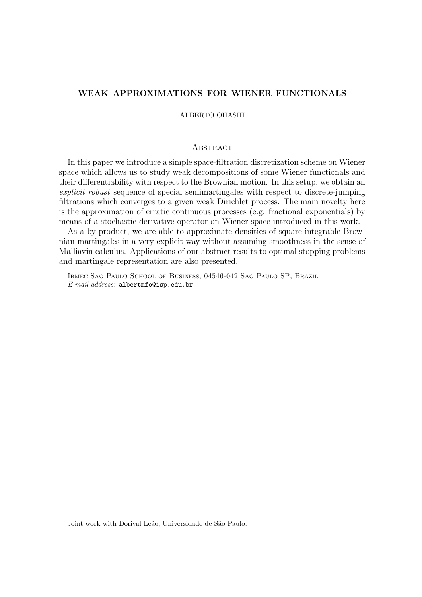### WEAK APPROXIMATIONS FOR WIENER FUNCTIONALS

### ALBERTO OHASHI

### **ABSTRACT**

In this paper we introduce a simple space-filtration discretization scheme on Wiener space which allows us to study weak decompositions of some Wiener functionals and their differentiability with respect to the Brownian motion. In this setup, we obtain an explicit robust sequence of special semimartingales with respect to discrete-jumping filtrations which converges to a given weak Dirichlet process. The main novelty here is the approximation of erratic continuous processes (e.g. fractional exponentials) by means of a stochastic derivative operator on Wiener space introduced in this work.

As a by-product, we are able to approximate densities of square-integrable Brownian martingales in a very explicit way without assuming smoothness in the sense of Malliavin calculus. Applications of our abstract results to optimal stopping problems and martingale representation are also presented.

IBMEC SÃO PAULO SCHOOL OF BUSINESS, 04546-042 SÃO PAULO SP, BRAZIL E-mail address: albertmfo@isp.edu.br

Joint work with Dorival Leão, Universidade de São Paulo.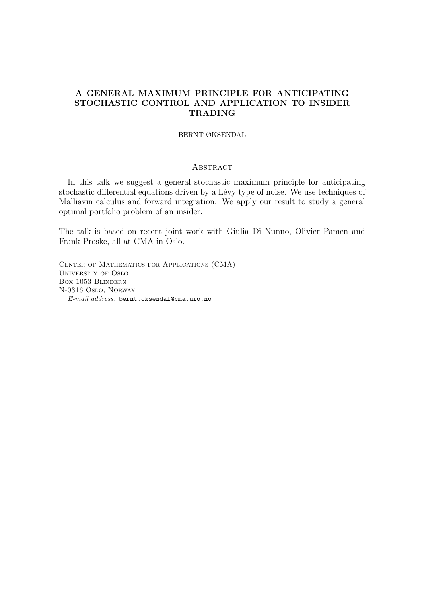# A GENERAL MAXIMUM PRINCIPLE FOR ANTICIPATING STOCHASTIC CONTROL AND APPLICATION TO INSIDER TRADING

### BERNT ØKSENDAL

### **ABSTRACT**

In this talk we suggest a general stochastic maximum principle for anticipating stochastic differential equations driven by a Lévy type of noise. We use techniques of Malliavin calculus and forward integration. We apply our result to study a general optimal portfolio problem of an insider.

The talk is based on recent joint work with Giulia Di Nunno, Olivier Pamen and Frank Proske, all at CMA in Oslo.

Center of Mathematics for Applications (CMA) University of Oslo Box 1053 Blindern N-0316 Oslo, Norway E-mail address: bernt.oksendal@cma.uio.no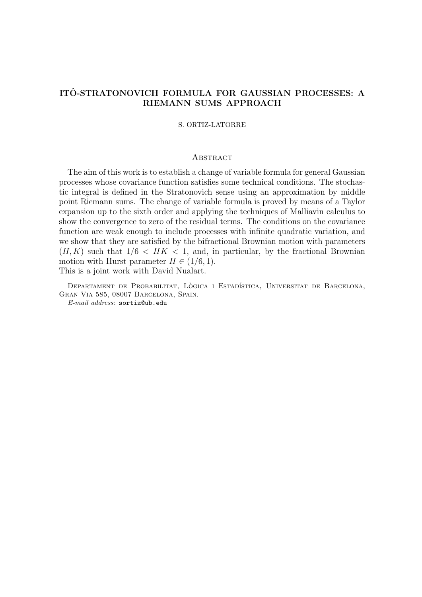## ITO-STRATONOVICH FORMULA FOR GAUSSIAN PROCESSES: A ˆ RIEMANN SUMS APPROACH

#### S. ORTIZ-LATORRE

### **ABSTRACT**

The aim of this work is to establish a change of variable formula for general Gaussian processes whose covariance function satisfies some technical conditions. The stochastic integral is defined in the Stratonovich sense using an approximation by middle point Riemann sums. The change of variable formula is proved by means of a Taylor expansion up to the sixth order and applying the techniques of Malliavin calculus to show the convergence to zero of the residual terms. The conditions on the covariance function are weak enough to include processes with infinite quadratic variation, and we show that they are satisfied by the bifractional Brownian motion with parameters  $(H, K)$  such that  $1/6 < HK < 1$ , and, in particular, by the fractional Brownian motion with Hurst parameter  $H \in (1/6, 1)$ . This is a joint work with David Nualart.

DEPARTAMENT DE PROBABILITAT, LÒGICA I ESTADÍSTICA, UNIVERSITAT DE BARCELONA, Gran Via 585, 08007 Barcelona, Spain.

E-mail address: sortiz@ub.edu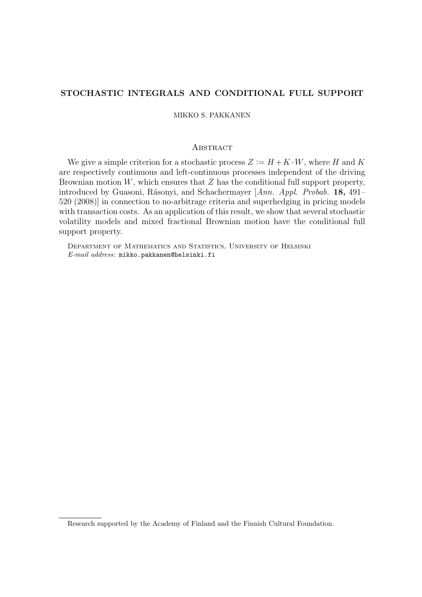### STOCHASTIC INTEGRALS AND CONDITIONAL FULL SUPPORT

MIKKO S. PAKKANEN

### **ABSTRACT**

We give a simple criterion for a stochastic process  $Z := H + K \cdot W$ , where H and K are respectively continuous and left-continuous processes independent of the driving Brownian motion  $W$ , which ensures that  $Z$  has the conditional full support property, introduced by Guasoni, Rásonyi, and Schachermayer [Ann. Appl. Probab.  $18, 491-$ 520 (2008)] in connection to no-arbitrage criteria and superhedging in pricing models with transaction costs. As an application of this result, we show that several stochastic volatility models and mixed fractional Brownian motion have the conditional full support property.

Department of Mathematics and Statistics, University of Helsinki E-mail address: mikko.pakkanen@helsinki.fi

Research supported by the Academy of Finland and the Finnish Cultural Foundation.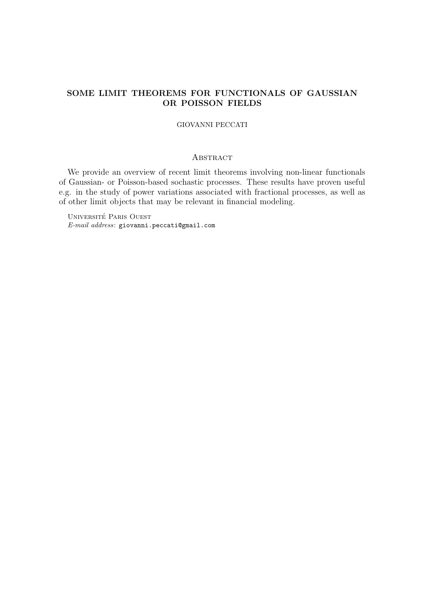# SOME LIMIT THEOREMS FOR FUNCTIONALS OF GAUSSIAN OR POISSON FIELDS

### GIOVANNI PECCATI

### **ABSTRACT**

We provide an overview of recent limit theorems involving non-linear functionals of Gaussian- or Poisson-based sochastic processes. These results have proven useful e.g. in the study of power variations associated with fractional processes, as well as of other limit objects that may be relevant in financial modeling.

UNIVERSITÉ PARIS OUEST E-mail address: giovanni.peccati@gmail.com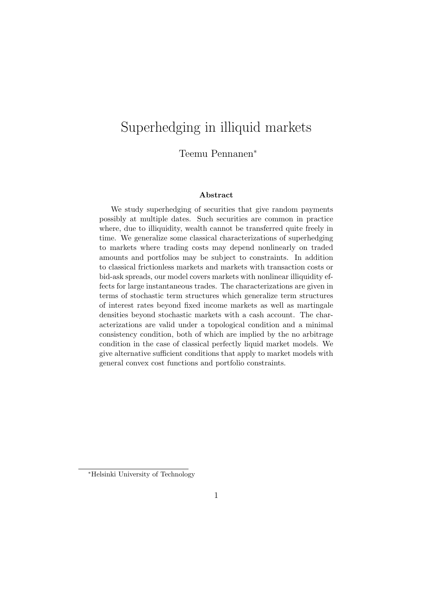# Superhedging in illiquid markets

Teemu Pennanen<sup>∗</sup>

### Abstract

We study superhedging of securities that give random payments possibly at multiple dates. Such securities are common in practice where, due to illiquidity, wealth cannot be transferred quite freely in time. We generalize some classical characterizations of superhedging to markets where trading costs may depend nonlinearly on traded amounts and portfolios may be subject to constraints. In addition to classical frictionless markets and markets with transaction costs or bid-ask spreads, our model covers markets with nonlinear illiquidity effects for large instantaneous trades. The characterizations are given in terms of stochastic term structures which generalize term structures of interest rates beyond fixed income markets as well as martingale densities beyond stochastic markets with a cash account. The characterizations are valid under a topological condition and a minimal consistency condition, both of which are implied by the no arbitrage condition in the case of classical perfectly liquid market models. We give alternative sufficient conditions that apply to market models with general convex cost functions and portfolio constraints.

<sup>∗</sup>Helsinki University of Technology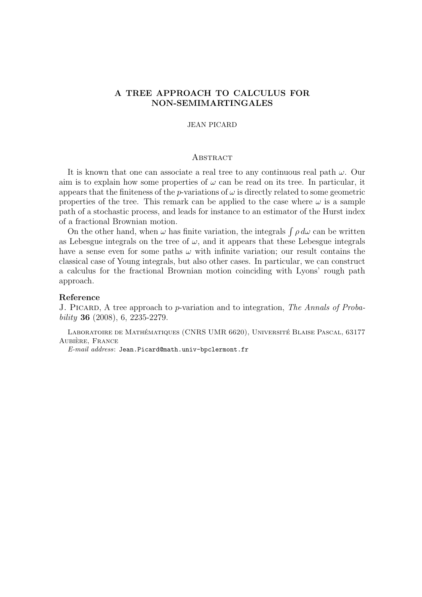## A TREE APPROACH TO CALCULUS FOR NON-SEMIMARTINGALES

#### JEAN PICARD

### **ABSTRACT**

It is known that one can associate a real tree to any continuous real path  $\omega$ . Our aim is to explain how some properties of  $\omega$  can be read on its tree. In particular, it appears that the finiteness of the p-variations of  $\omega$  is directly related to some geometric properties of the tree. This remark can be applied to the case where  $\omega$  is a sample path of a stochastic process, and leads for instance to an estimator of the Hurst index of a fractional Brownian motion.

On the other hand, when  $\omega$  has finite variation, the integrals  $\int \rho d\omega$  can be written as Lebesgue integrals on the tree of  $\omega$ , and it appears that these Lebesgue integrals have a sense even for some paths  $\omega$  with infinite variation; our result contains the classical case of Young integrals, but also other cases. In particular, we can construct a calculus for the fractional Brownian motion coinciding with Lyons' rough path approach.

### Reference

J. PICARD, A tree approach to p-variation and to integration, The Annals of Probability 36 (2008), 6, 2235-2279.

LABORATOIRE DE MATHÉMATIQUES (CNRS UMR 6620), UNIVERSITÉ BLAISE PASCAL, 63177 AUBIÈRE, FRANCE

E-mail address: Jean.Picard@math.univ-bpclermont.fr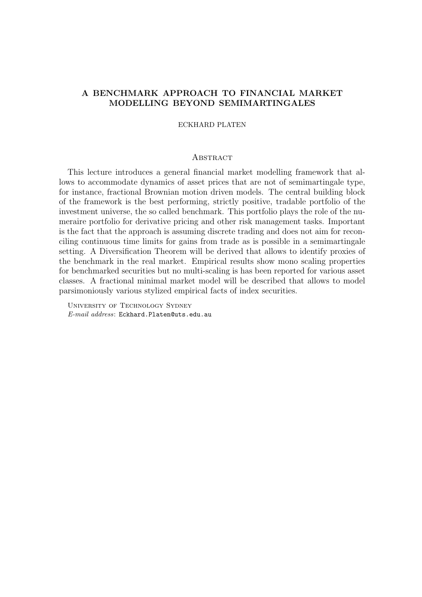# A BENCHMARK APPROACH TO FINANCIAL MARKET MODELLING BEYOND SEMIMARTINGALES

#### ECKHARD PLATEN

### **ABSTRACT**

This lecture introduces a general financial market modelling framework that allows to accommodate dynamics of asset prices that are not of semimartingale type, for instance, fractional Brownian motion driven models. The central building block of the framework is the best performing, strictly positive, tradable portfolio of the investment universe, the so called benchmark. This portfolio plays the role of the numeraire portfolio for derivative pricing and other risk management tasks. Important is the fact that the approach is assuming discrete trading and does not aim for reconciling continuous time limits for gains from trade as is possible in a semimartingale setting. A Diversification Theorem will be derived that allows to identify proxies of the benchmark in the real market. Empirical results show mono scaling properties for benchmarked securities but no multi-scaling is has been reported for various asset classes. A fractional minimal market model will be described that allows to model parsimoniously various stylized empirical facts of index securities.

University of Technology Sydney E-mail address: Eckhard.Platen@uts.edu.au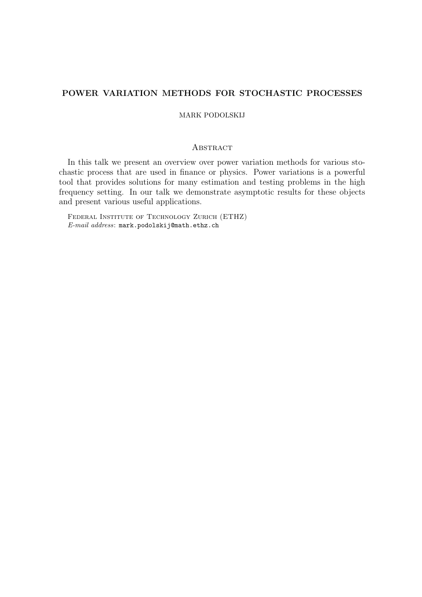# POWER VARIATION METHODS FOR STOCHASTIC PROCESSES

MARK PODOLSKIJ

### **ABSTRACT**

In this talk we present an overview over power variation methods for various stochastic process that are used in finance or physics. Power variations is a powerful tool that provides solutions for many estimation and testing problems in the high frequency setting. In our talk we demonstrate asymptotic results for these objects and present various useful applications.

Federal Institute of Technology Zurich (ETHZ) E-mail address: mark.podolskij@math.ethz.ch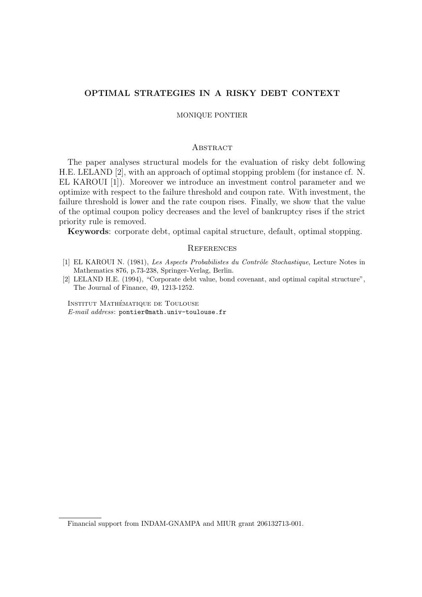### OPTIMAL STRATEGIES IN A RISKY DEBT CONTEXT

### MONIQUE PONTIER

### **ABSTRACT**

The paper analyses structural models for the evaluation of risky debt following H.E. LELAND [2], with an approach of optimal stopping problem (for instance cf. N. EL KAROUI [1]). Moreover we introduce an investment control parameter and we optimize with respect to the failure threshold and coupon rate. With investment, the failure threshold is lower and the rate coupon rises. Finally, we show that the value of the optimal coupon policy decreases and the level of bankruptcy rises if the strict priority rule is removed.

Keywords: corporate debt, optimal capital structure, default, optimal stopping.

### **REFERENCES**

- [1] EL KAROUI N. (1981), Les Aspects Probabilistes du Contrôle Stochastique, Lecture Notes in Mathematics 876, p.73-238, Springer-Verlag, Berlin.
- [2] LELAND H.E. (1994), "Corporate debt value, bond covenant, and optimal capital structure", The Journal of Finance, 49, 1213-1252.

INSTITUT MATHÉMATIQUE DE TOULOUSE E-mail address: pontier@math.univ-toulouse.fr

Financial support from INDAM-GNAMPA and MIUR grant 206132713-001.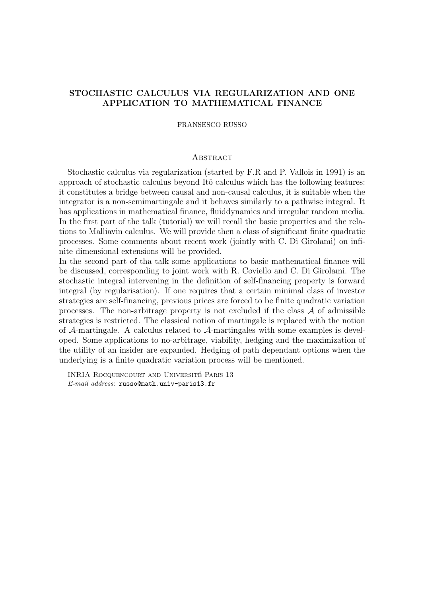# STOCHASTIC CALCULUS VIA REGULARIZATION AND ONE APPLICATION TO MATHEMATICAL FINANCE

#### FRANSESCO RUSSO

### **ABSTRACT**

Stochastic calculus via regularization (started by F.R and P. Vallois in 1991) is an approach of stochastic calculus beyond Itô calculus which has the following features: it constitutes a bridge between causal and non-causal calculus, it is suitable when the integrator is a non-semimartingale and it behaves similarly to a pathwise integral. It has applications in mathematical finance, fluiddynamics and irregular random media. In the first part of the talk (tutorial) we will recall the basic properties and the relations to Malliavin calculus. We will provide then a class of significant finite quadratic processes. Some comments about recent work (jointly with C. Di Girolami) on infinite dimensional extensions will be provided.

In the second part of tha talk some applications to basic mathematical finance will be discussed, corresponding to joint work with R. Coviello and C. Di Girolami. The stochastic integral intervening in the definition of self-financing property is forward integral (by regularisation). If one requires that a certain minimal class of investor strategies are self-financing, previous prices are forced to be finite quadratic variation processes. The non-arbitrage property is not excluded if the class  $A$  of admissible strategies is restricted. The classical notion of martingale is replaced with the notion of A-martingale. A calculus related to A-martingales with some examples is developed. Some applications to no-arbitrage, viability, hedging and the maximization of the utility of an insider are expanded. Hedging of path dependant options when the underlying is a finite quadratic variation process will be mentioned.

INRIA ROCQUENCOURT AND UNIVERSITÉ PARIS 13 E-mail address: russo@math.univ-paris13.fr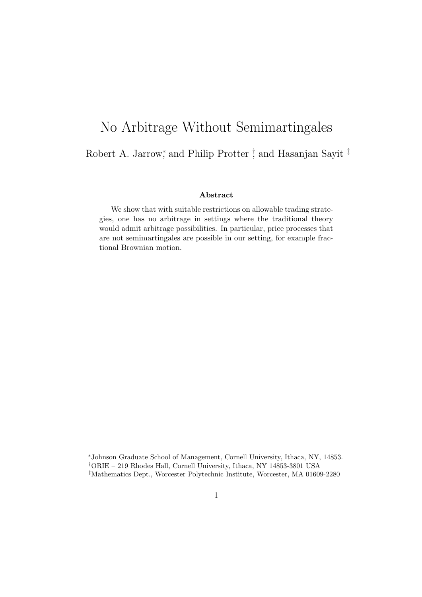# No Arbitrage Without Semimartingales Robert A. Jarrow,<sup>\*</sup> and Philip Protter <sup>†</sup>, and Hasanjan Sayit<sup>‡</sup>

### Abstract

We show that with suitable restrictions on allowable trading strategies, one has no arbitrage in settings where the traditional theory would admit arbitrage possibilities. In particular, price processes that are not semimartingales are possible in our setting, for example fractional Brownian motion.

<sup>∗</sup>Johnson Graduate School of Management, Cornell University, Ithaca, NY, 14853. †ORIE – 219 Rhodes Hall, Cornell University, Ithaca, NY 14853-3801 USA

<sup>‡</sup>Mathematics Dept., Worcester Polytechnic Institute, Worcester, MA 01609-2280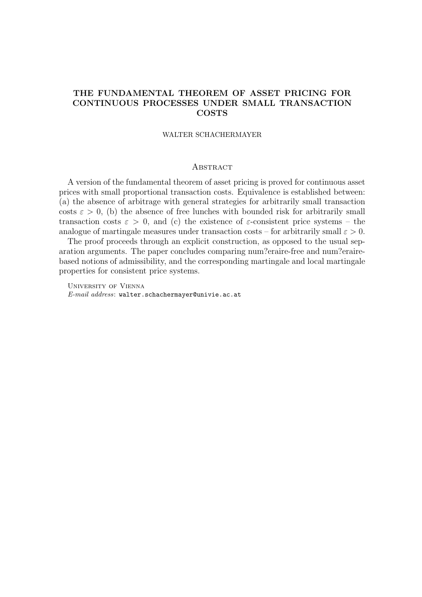# THE FUNDAMENTAL THEOREM OF ASSET PRICING FOR CONTINUOUS PROCESSES UNDER SMALL TRANSACTION COSTS

### WALTER SCHACHERMAYER

### **ABSTRACT**

A version of the fundamental theorem of asset pricing is proved for continuous asset prices with small proportional transaction costs. Equivalence is established between: (a) the absence of arbitrage with general strategies for arbitrarily small transaction costs  $\varepsilon > 0$ , (b) the absence of free lunches with bounded risk for arbitrarily small transaction costs  $\varepsilon > 0$ , and (c) the existence of  $\varepsilon$ -consistent price systems – the analogue of martingale measures under transaction costs – for arbitrarily small  $\varepsilon > 0$ .

The proof proceeds through an explicit construction, as opposed to the usual separation arguments. The paper concludes comparing num?eraire-free and num?erairebased notions of admissibility, and the corresponding martingale and local martingale properties for consistent price systems.

University of Vienna E-mail address: walter.schachermayer@univie.ac.at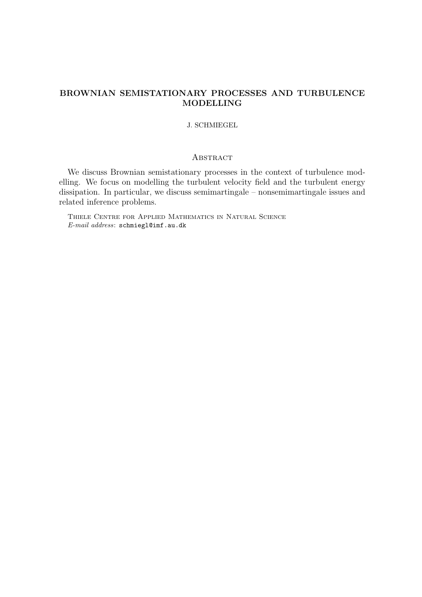# BROWNIAN SEMISTATIONARY PROCESSES AND TURBULENCE MODELLING

### J. SCHMIEGEL

### **ABSTRACT**

We discuss Brownian semistationary processes in the context of turbulence modelling. We focus on modelling the turbulent velocity field and the turbulent energy dissipation. In particular, we discuss semimartingale – nonsemimartingale issues and related inference problems.

Thiele Centre for Applied Mathematics in Natural Science E-mail address: schmiegl@imf.au.dk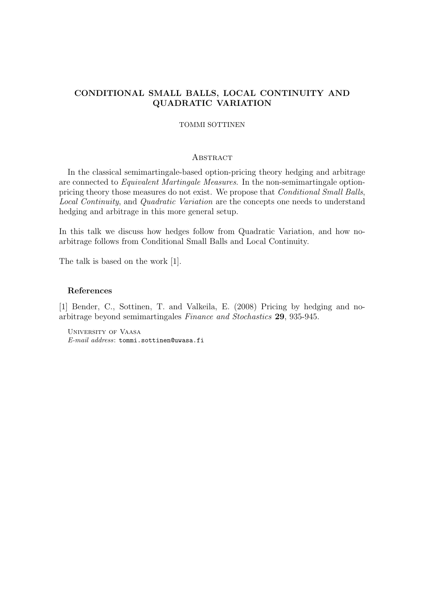# CONDITIONAL SMALL BALLS, LOCAL CONTINUITY AND QUADRATIC VARIATION

### TOMMI SOTTINEN

### **ABSTRACT**

In the classical semimartingale-based option-pricing theory hedging and arbitrage are connected to Equivalent Martingale Measures. In the non-semimartingale optionpricing theory those measures do not exist. We propose that Conditional Small Balls, Local Continuity, and Quadratic Variation are the concepts one needs to understand hedging and arbitrage in this more general setup.

In this talk we discuss how hedges follow from Quadratic Variation, and how noarbitrage follows from Conditional Small Balls and Local Continuity.

The talk is based on the work [1].

### References

[1] Bender, C., Sottinen, T. and Valkeila, E. (2008) Pricing by hedging and noarbitrage beyond semimartingales Finance and Stochastics 29, 935-945.

University of Vaasa E-mail address: tommi.sottinen@uwasa.fi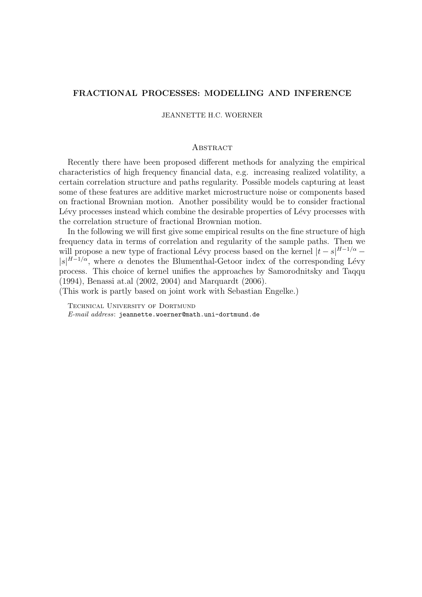### FRACTIONAL PROCESSES: MODELLING AND INFERENCE

### JEANNETTE H.C. WOERNER

### **ABSTRACT**

Recently there have been proposed different methods for analyzing the empirical characteristics of high frequency financial data, e.g. increasing realized volatility, a certain correlation structure and paths regularity. Possible models capturing at least some of these features are additive market microstructure noise or components based on fractional Brownian motion. Another possibility would be to consider fractional Lévy processes instead which combine the desirable properties of Lévy processes with the correlation structure of fractional Brownian motion.

In the following we will first give some empirical results on the fine structure of high frequency data in terms of correlation and regularity of the sample paths. Then we will propose a new type of fractional Lévy process based on the kernel  $|t - s|^{H-1/\alpha}$  –  $|s|^{H-1/\alpha}$ , where  $\alpha$  denotes the Blumenthal-Getoor index of the corresponding Lévy process. This choice of kernel unifies the approaches by Samorodnitsky and Taqqu (1994), Benassi at.al (2002, 2004) and Marquardt (2006).

(This work is partly based on joint work with Sebastian Engelke.)

TECHNICAL UNIVERSITY OF DORTMUND E-mail address: jeannette.woerner@math.uni-dortmund.de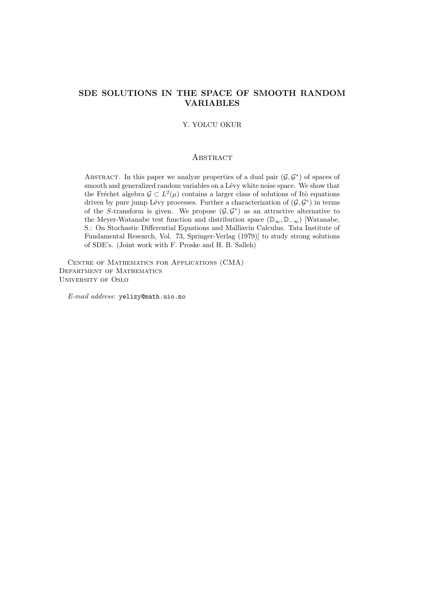# SDE SOLUTIONS IN THE SPACE OF SMOOTH RANDOM VARIABLES

#### Y. YOLCU OKUR

### **ABSTRACT**

ABSTRACT. In this paper we analyze properties of a dual pair  $(\mathcal{G}, \mathcal{G}^*)$  of spaces of smooth and generalized random variables on a Lévy white noise space. We show that the Fréchet algebra  $\mathcal{G} \subset L^2(\mu)$  contains a larger class of solutions of Itô equations driven by pure jump Lévy processes. Further a characterization of  $(G, \mathcal{G}^*)$  in terms of the S-transform is given. We propose  $(\mathcal{G}, \mathcal{G}^*)$  as an attractive alternative to the Meyer-Watanabe test function and distribution space  $(\mathbb{D}_{\infty}, \mathbb{D}_{-\infty})$  [Watanabe, S.: On Stochastic Differential Equations and Malliavin Calculus. Tata Institute of Fundamental Research, Vol. 73, Springer-Verlag (1979)] to study strong solutions of SDE's. (Joint work with F. Proske and H. B. Salleh)

Centre of Mathematics for Applications (CMA) Department of Mathematics University of Oslo

E-mail address: yelizy@math.uio.no